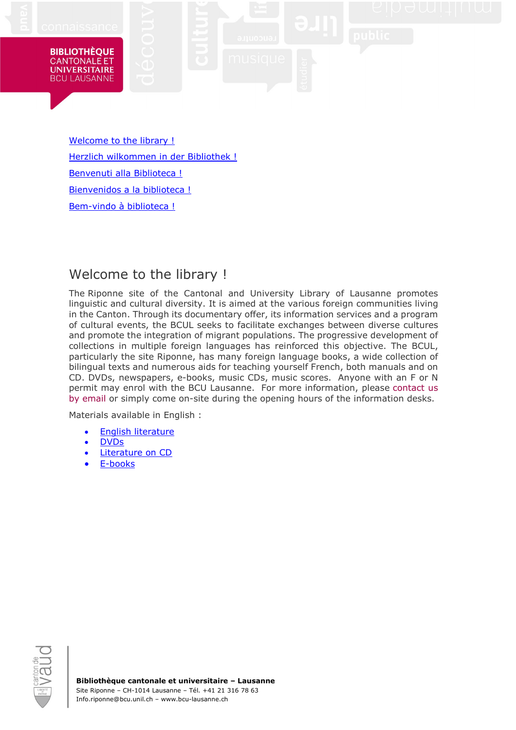#### **BIBLIOTHÈOUE CANTONALE ET UNIVERSITAIRE BCU LAUSANNE**

[Welcome to the library !](#page-0-0) [Herzlich wilkommen in der Bibliothek](#page-0-1) ! [Benvenuti alla Biblioteca !](#page-1-0) [Bienvenidos a la biblioteca !](#page-1-1) [Bem-vindo à biblioteca](#page-2-0) !

# <span id="page-0-0"></span>Welcome to the library !

The Riponne site of the Cantonal and University Library of Lausanne promotes linguistic and cultural diversity. It is aimed at the various foreign communities living in the Canton. Through its documentary offer, its information services and a program of cultural events, the BCUL seeks to facilitate exchanges between diverse cultures and promote the integration of migrant populations. The progressive development of collections in multiple foreign languages has reinforced this objective. The BCUL, particularly the site Riponne, has many foreign language books, a wide collection of bilingual texts and numerous aids for teaching yourself French, both manuals and on CD. DVDs, newspapers, e-books, music CDs, music scores. Anyone with an F or N permit may enrol with the BCU Lausanne. For more information, please [contact us](mailto:info-riponne@bcu.unil.ch)  [by email](mailto:info-riponne@bcu.unil.ch) or simply come on-site during the opening hours of the information desks.

Materials available in English :

- [English literature](https://renouvaud1.primo.exlibrisgroup.com/discovery/search?query=any,contains,nwriplitanglaise%20OR%20nwdoranglais&tab=Everything&search_scope=MyInst_and_CI&vid=41BCULAUSA_LIB:VU2&offset=0)
- [DVDs](https://renouvaud1.primo.exlibrisgroup.com/discovery/search?query=any,contains,nwripdvd&tab=Everything&search_scope=MyInst_and_CI&vid=41BCULAUSA_LIB:VU2&facet=lang,include,eng&offset=0)
- [Literature on CD](https://renouvaud1.primo.exlibrisgroup.com/discovery/search?query=any,contains,nwriplitenregistree,AND&pfilter=lang,exact,eng,AND&tab=Physical_resources&search_scope=Physical_resources&vid=41BCULAUSA_LIB:VU2&mode=advanced&offset=0)
- <span id="page-0-1"></span>[E-books](http://bcu-lausanne.cantookstation.eu/resources?language=eng&sort_by=issued_on_desc)

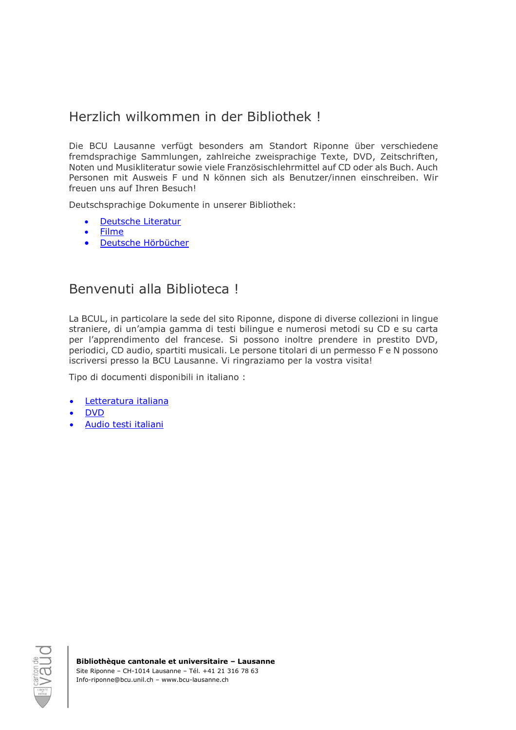# Herzlich wilkommen in der Bibliothek !

Die BCU Lausanne verfügt besonders am Standort Riponne über verschiedene fremdsprachige Sammlungen, zahlreiche zweisprachige Texte, DVD, Zeitschriften, Noten und Musikliteratur sowie viele Französischlehrmittel auf CD oder als Buch. Auch Personen mit Ausweis F und N können sich als Benutzer/innen einschreiben. Wir freuen uns auf Ihren Besuch!

Deutschsprachige Dokumente in unserer Bibliothek:

- [Deutsche Literatur](https://renouvaud1.primo.exlibrisgroup.com/discovery/search?query=any,contains,nwriplitallemande%20OR%20nwdorallemand&tab=Physical_resources&search_scope=Physical_resources&vid=41BCULAUSA_LIB:VU2&offset=0)
- [Filme](https://renouvaud1.primo.exlibrisgroup.com/discovery/search?query=any,contains,nwripdvd&tab=Everything&search_scope=MyInst_and_CI&vid=41BCULAUSA_LIB:VU2&facet=lang,include,eng&offset=0)
- [Deutsche Hörbücher](https://renouvaud1.primo.exlibrisgroup.com/discovery/search?query=any,contains,nwriplitenregistree,AND&pfilter=lang,exact,ger,AND&tab=Physical_resources&search_scope=Physical_resources&vid=41BCULAUSA_LIB:VU2&mode=advanced&offset=0)

#### <span id="page-1-0"></span>Benvenuti alla Biblioteca !

La BCUL, in particolare la sede del sito Riponne, dispone di diverse collezioni in lingue straniere, di un'ampia gamma di testi bilingue e numerosi metodi su CD e su carta per l'apprendimento del francese. Si possono inoltre prendere in prestito DVD, periodici, CD audio, spartiti musicali. Le persone titolari di un permesso F e N possono iscriversi presso la BCU Lausanne. Vi ringraziamo per la vostra visita!

Tipo di documenti disponibili in italiano :

- [Letteratura italiana](https://renouvaud1.primo.exlibrisgroup.com/discovery/search?query=any,contains,nwriplititalienne%20OR%20nwdoritalien&tab=Physical_resources&search_scope=Physical_resources&vid=41BCULAUSA_LIB:VU2&offset=0)
- [DVD](https://renouvaud1.primo.exlibrisgroup.com/discovery/search?query=any,contains,nwripdvd&tab=Everything&search_scope=MyInst_and_CI&vid=41BCULAUSA_LIB:VU2&facet=lang,include,ita&offset=0)
- <span id="page-1-1"></span>• Audio [testi italiani](https://renouvaud1.primo.exlibrisgroup.com/discovery/search?query=any,contains,nwriplitenregistree,AND&pfilter=lang,exact,ita,AND&tab=Physical_resources&search_scope=Physical_resources&vid=41BCULAUSA_LIB:VU2&mode=advanced&offset=0)